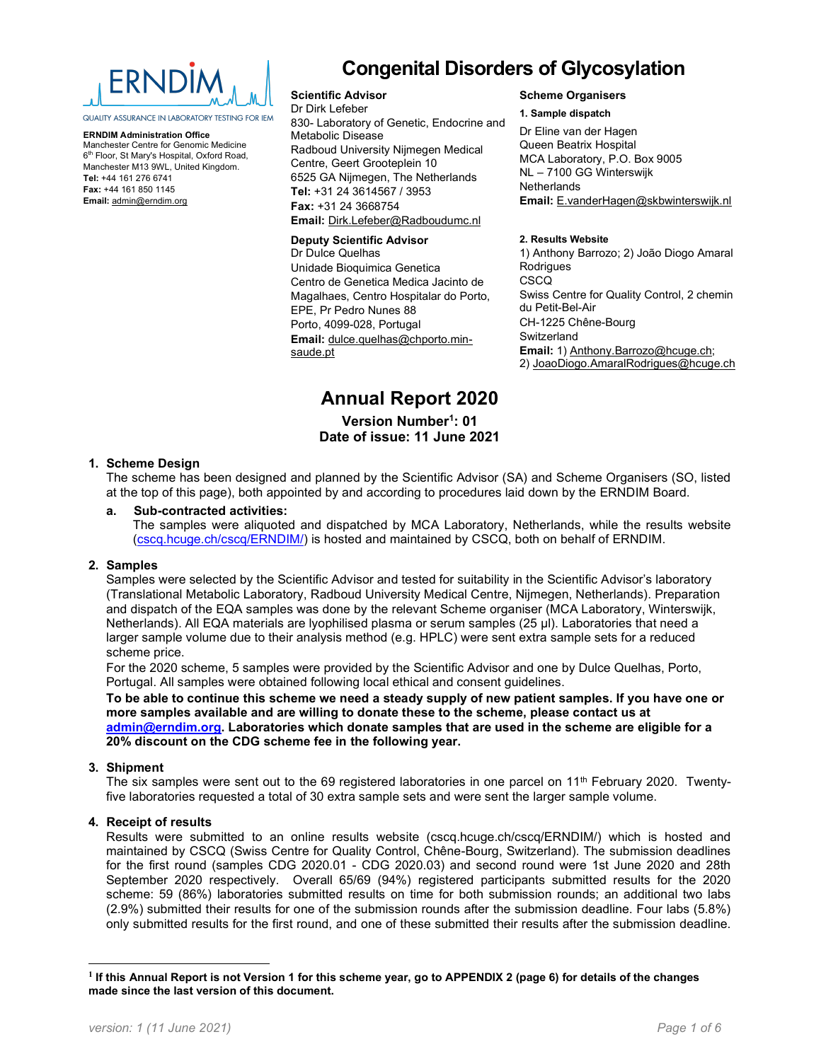

QUALITY ASSURANCE IN LABORATORY TESTING FOR IEM

ERNDIM Administration Office Manchester Centre for Genomic Medicine 6<sup>th</sup> Floor, St Mary's Hospital, Oxford Road, Manchester M13 9WL, United Kingdom. Tel: +44 161 276 6741 Fax: +44 161 850 1145 Email: admin@erndim.org

# Congenital Disorders of Glycosylation

#### Scientific Advisor

Dr Dirk Lefeber 830- Laboratory of Genetic, Endocrine and Metabolic Disease Radboud University Nijmegen Medical Centre, Geert Grooteplein 10 6525 GA Nijmegen, The Netherlands Tel: +31 24 3614567 / 3953 Fax: +31 24 3668754 Email: Dirk.Lefeber@Radboudumc.nl

#### Deputy Scientific Advisor

Dr Dulce Quelhas Unidade Bioquimica Genetica Centro de Genetica Medica Jacinto de Magalhaes, Centro Hospitalar do Porto, EPE, Pr Pedro Nunes 88 Porto, 4099-028, Portugal Email: dulce.quelhas@chporto.minsaude.pt

#### Scheme Organisers

#### 1. Sample dispatch

Dr Eline van der Hagen Queen Beatrix Hospital MCA Laboratory, P.O. Box 9005 NL – 7100 GG Winterswijk **Netherlands** Email: E.vanderHagen@skbwinterswijk.nl

#### 2. Results Website

1) Anthony Barrozo; 2) João Diogo Amaral **Rodrigues** CSCQ Swiss Centre for Quality Control, 2 chemin du Petit-Bel-Air CH-1225 Chêne-Bourg **Switzerland** Email: 1) Anthony.Barrozo@hcuge.ch; 2) JoaoDiogo.AmaralRodrigues@hcuge.ch

# Annual Report 2020

Version Number<sup>1</sup>: 01 Date of issue: 11 June 2021

### 1. Scheme Design

The scheme has been designed and planned by the Scientific Advisor (SA) and Scheme Organisers (SO, listed at the top of this page), both appointed by and according to procedures laid down by the ERNDIM Board.

#### a. Sub-contracted activities:

The samples were aliquoted and dispatched by MCA Laboratory, Netherlands, while the results website (cscq.hcuge.ch/cscq/ERNDIM/) is hosted and maintained by CSCQ, both on behalf of ERNDIM.

#### 2. Samples

Samples were selected by the Scientific Advisor and tested for suitability in the Scientific Advisor's laboratory (Translational Metabolic Laboratory, Radboud University Medical Centre, Nijmegen, Netherlands). Preparation and dispatch of the EQA samples was done by the relevant Scheme organiser (MCA Laboratory, Winterswijk, Netherlands). All EQA materials are lyophilised plasma or serum samples (25 µl). Laboratories that need a larger sample volume due to their analysis method (e.g. HPLC) were sent extra sample sets for a reduced scheme price.

For the 2020 scheme, 5 samples were provided by the Scientific Advisor and one by Dulce Quelhas, Porto, Portugal. All samples were obtained following local ethical and consent guidelines.

To be able to continue this scheme we need a steady supply of new patient samples. If you have one or more samples available and are willing to donate these to the scheme, please contact us at admin@erndim.org. Laboratories which donate samples that are used in the scheme are eligible for a 20% discount on the CDG scheme fee in the following year.

#### 3. Shipment

The six samples were sent out to the 69 registered laboratories in one parcel on 11<sup>th</sup> February 2020. Twentyfive laboratories requested a total of 30 extra sample sets and were sent the larger sample volume.

# 4. Receipt of results

Results were submitted to an online results website (cscq.hcuge.ch/cscq/ERNDIM/) which is hosted and maintained by CSCQ (Swiss Centre for Quality Control, Chêne-Bourg, Switzerland). The submission deadlines for the first round (samples CDG 2020.01 - CDG 2020.03) and second round were 1st June 2020 and 28th September 2020 respectively. Overall 65/69 (94%) registered participants submitted results for the 2020 scheme: 59 (86%) laboratories submitted results on time for both submission rounds; an additional two labs (2.9%) submitted their results for one of the submission rounds after the submission deadline. Four labs (5.8%) only submitted results for the first round, and one of these submitted their results after the submission deadline.

<sup>&</sup>lt;sup>1</sup> If this Annual Report is not Version 1 for this scheme year, go to APPENDIX 2 (page 6) for details of the changes made since the last version of this document.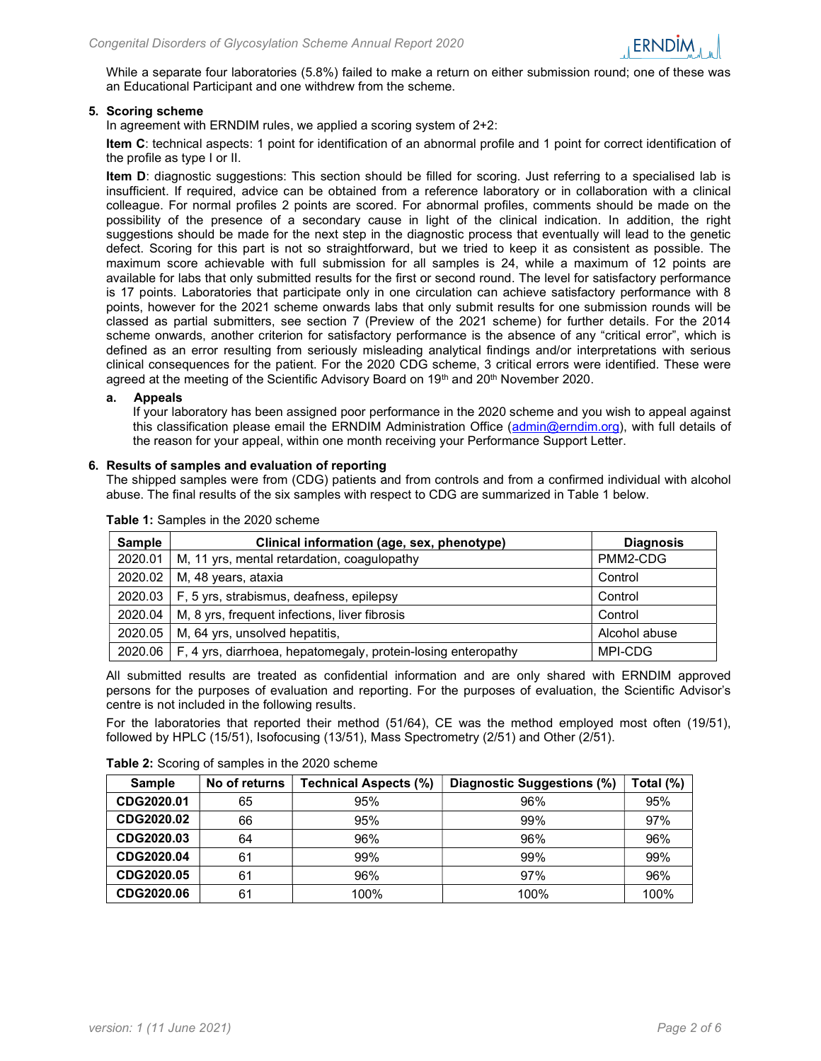

While a separate four laboratories (5.8%) failed to make a return on either submission round; one of these was an Educational Participant and one withdrew from the scheme.

#### 5. Scoring scheme

In agreement with ERNDIM rules, we applied a scoring system of 2+2:

Item C: technical aspects: 1 point for identification of an abnormal profile and 1 point for correct identification of the profile as type I or II.

Item D: diagnostic suggestions: This section should be filled for scoring. Just referring to a specialised lab is insufficient. If required, advice can be obtained from a reference laboratory or in collaboration with a clinical colleague. For normal profiles 2 points are scored. For abnormal profiles, comments should be made on the possibility of the presence of a secondary cause in light of the clinical indication. In addition, the right suggestions should be made for the next step in the diagnostic process that eventually will lead to the genetic defect. Scoring for this part is not so straightforward, but we tried to keep it as consistent as possible. The maximum score achievable with full submission for all samples is 24, while a maximum of 12 points are available for labs that only submitted results for the first or second round. The level for satisfactory performance is 17 points. Laboratories that participate only in one circulation can achieve satisfactory performance with 8 points, however for the 2021 scheme onwards labs that only submit results for one submission rounds will be classed as partial submitters, see section 7 (Preview of the 2021 scheme) for further details. For the 2014 scheme onwards, another criterion for satisfactory performance is the absence of any "critical error", which is defined as an error resulting from seriously misleading analytical findings and/or interpretations with serious clinical consequences for the patient. For the 2020 CDG scheme, 3 critical errors were identified. These were agreed at the meeting of the Scientific Advisory Board on  $19<sup>th</sup>$  and  $20<sup>th</sup>$  November 2020.

#### a. Appeals

If your laboratory has been assigned poor performance in the 2020 scheme and you wish to appeal against this classification please email the ERNDIM Administration Office (admin@erndim.org), with full details of the reason for your appeal, within one month receiving your Performance Support Letter.

#### 6. Results of samples and evaluation of reporting

The shipped samples were from (CDG) patients and from controls and from a confirmed individual with alcohol abuse. The final results of the six samples with respect to CDG are summarized in Table 1 below.

| <b>Sample</b> | Clinical information (age, sex, phenotype)                               | <b>Diagnosis</b> |  |  |  |  |  |
|---------------|--------------------------------------------------------------------------|------------------|--|--|--|--|--|
| 2020.01       | M, 11 yrs, mental retardation, coagulopathy                              | PMM2-CDG         |  |  |  |  |  |
| 2020.02       | M, 48 years, ataxia<br>Control                                           |                  |  |  |  |  |  |
|               | $2020.03$   F, 5 yrs, strabismus, deafness, epilepsy                     | Control          |  |  |  |  |  |
| 2020.04       | M, 8 yrs, frequent infections, liver fibrosis<br>Control                 |                  |  |  |  |  |  |
| 2020.05       | Alcohol abuse<br>M, 64 yrs, unsolved hepatitis,                          |                  |  |  |  |  |  |
| 2020.06       | MPI-CDG<br>F, 4 yrs, diarrhoea, hepatomegaly, protein-losing enteropathy |                  |  |  |  |  |  |

Table 1: Samples in the 2020 scheme

All submitted results are treated as confidential information and are only shared with ERNDIM approved persons for the purposes of evaluation and reporting. For the purposes of evaluation, the Scientific Advisor's centre is not included in the following results.

For the laboratories that reported their method (51/64), CE was the method employed most often (19/51), followed by HPLC (15/51), Isofocusing (13/51), Mass Spectrometry (2/51) and Other (2/51).

#### Table 2: Scoring of samples in the 2020 scheme

| <b>Sample</b> | No of returns | <b>Technical Aspects (%)</b> | Diagnostic Suggestions (%) | Total (%) |
|---------------|---------------|------------------------------|----------------------------|-----------|
| CDG2020.01    | 65            | 95%                          | 96%                        | 95%       |
| CDG2020.02    | 66            | 95%                          | 99%                        | 97%       |
| CDG2020.03    | 64            | 96%                          | 96%                        | 96%       |
| CDG2020.04    | 61            | 99%                          | 99%                        | 99%       |
| CDG2020.05    | 61            | 96%                          | 97%                        | 96%       |
| CDG2020.06    | 61            | 100%                         | 100%                       | 100%      |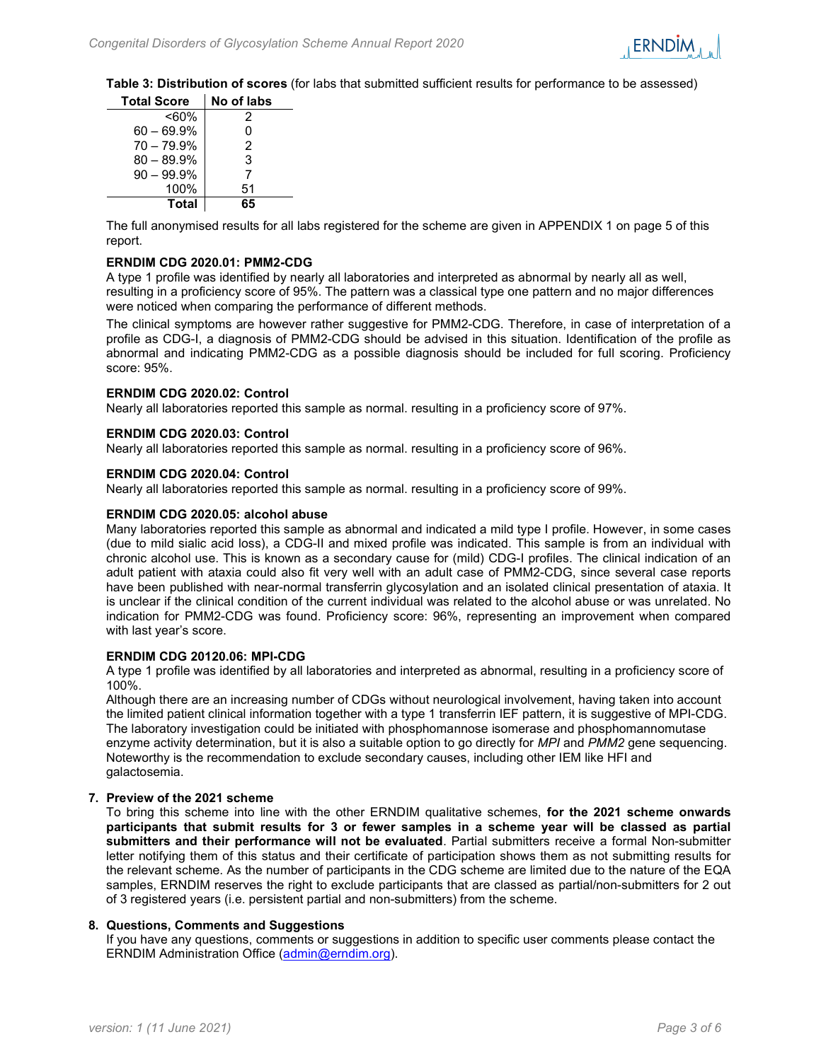Table 3: Distribution of scores (for labs that submitted sufficient results for performance to be assessed)

| <b>Total Score</b> | No of labs |
|--------------------|------------|
| <60%               | 2          |
| $60 - 69.9%$       | ი          |
| $70 - 79.9%$       | 2          |
| $80 - 89.9%$       | 3          |
| $90 - 99.9%$       | 7          |
| 100%               | 51         |
| <b>Total</b>       | 65         |

The full anonymised results for all labs registered for the scheme are given in APPENDIX 1 on page 5 of this report.

#### ERNDIM CDG 2020.01: PMM2-CDG

A type 1 profile was identified by nearly all laboratories and interpreted as abnormal by nearly all as well, resulting in a proficiency score of 95%. The pattern was a classical type one pattern and no major differences were noticed when comparing the performance of different methods.

The clinical symptoms are however rather suggestive for PMM2-CDG. Therefore, in case of interpretation of a profile as CDG-I, a diagnosis of PMM2-CDG should be advised in this situation. Identification of the profile as abnormal and indicating PMM2-CDG as a possible diagnosis should be included for full scoring. Proficiency score: 95%.

#### ERNDIM CDG 2020.02: Control

Nearly all laboratories reported this sample as normal. resulting in a proficiency score of 97%.

#### ERNDIM CDG 2020.03: Control

Nearly all laboratories reported this sample as normal. resulting in a proficiency score of 96%.

#### ERNDIM CDG 2020.04: Control

Nearly all laboratories reported this sample as normal. resulting in a proficiency score of 99%.

#### ERNDIM CDG 2020.05: alcohol abuse

Many laboratories reported this sample as abnormal and indicated a mild type I profile. However, in some cases (due to mild sialic acid loss), a CDG-II and mixed profile was indicated. This sample is from an individual with chronic alcohol use. This is known as a secondary cause for (mild) CDG-I profiles. The clinical indication of an adult patient with ataxia could also fit very well with an adult case of PMM2-CDG, since several case reports have been published with near-normal transferrin glycosylation and an isolated clinical presentation of ataxia. It is unclear if the clinical condition of the current individual was related to the alcohol abuse or was unrelated. No indication for PMM2-CDG was found. Proficiency score: 96%, representing an improvement when compared with last year's score.

#### ERNDIM CDG 20120.06: MPI-CDG

A type 1 profile was identified by all laboratories and interpreted as abnormal, resulting in a proficiency score of 100%.

Although there are an increasing number of CDGs without neurological involvement, having taken into account the limited patient clinical information together with a type 1 transferrin IEF pattern, it is suggestive of MPI-CDG. The laboratory investigation could be initiated with phosphomannose isomerase and phosphomannomutase enzyme activity determination, but it is also a suitable option to go directly for MPI and PMM2 gene sequencing. Noteworthy is the recommendation to exclude secondary causes, including other IEM like HFI and galactosemia.

#### 7. Preview of the 2021 scheme

To bring this scheme into line with the other ERNDIM qualitative schemes, for the 2021 scheme onwards participants that submit results for 3 or fewer samples in a scheme year will be classed as partial submitters and their performance will not be evaluated. Partial submitters receive a formal Non-submitter letter notifying them of this status and their certificate of participation shows them as not submitting results for the relevant scheme. As the number of participants in the CDG scheme are limited due to the nature of the EQA samples, ERNDIM reserves the right to exclude participants that are classed as partial/non-submitters for 2 out of 3 registered years (i.e. persistent partial and non-submitters) from the scheme.

#### 8. Questions, Comments and Suggestions

If you have any questions, comments or suggestions in addition to specific user comments please contact the ERNDIM Administration Office (admin@erndim.org).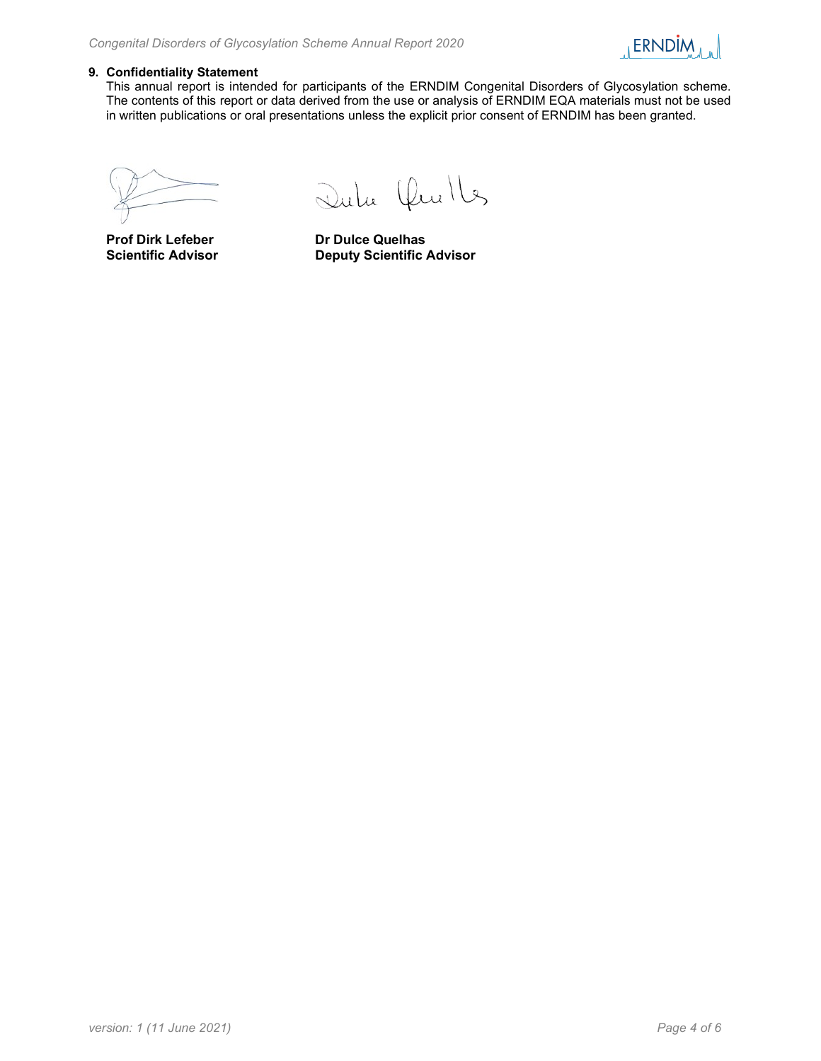

## 9. Confidentiality Statement

This annual report is intended for participants of the ERNDIM Congenital Disorders of Glycosylation scheme. The contents of this report or data derived from the use or analysis of ERNDIM EQA materials must not be used in written publications or oral presentations unless the explicit prior consent of ERNDIM has been granted.

Dulu Chulles

Prof Dirk Lefeber Dr Dulce Quelhas Scientific Advisor **Deputy Scientific Advisor**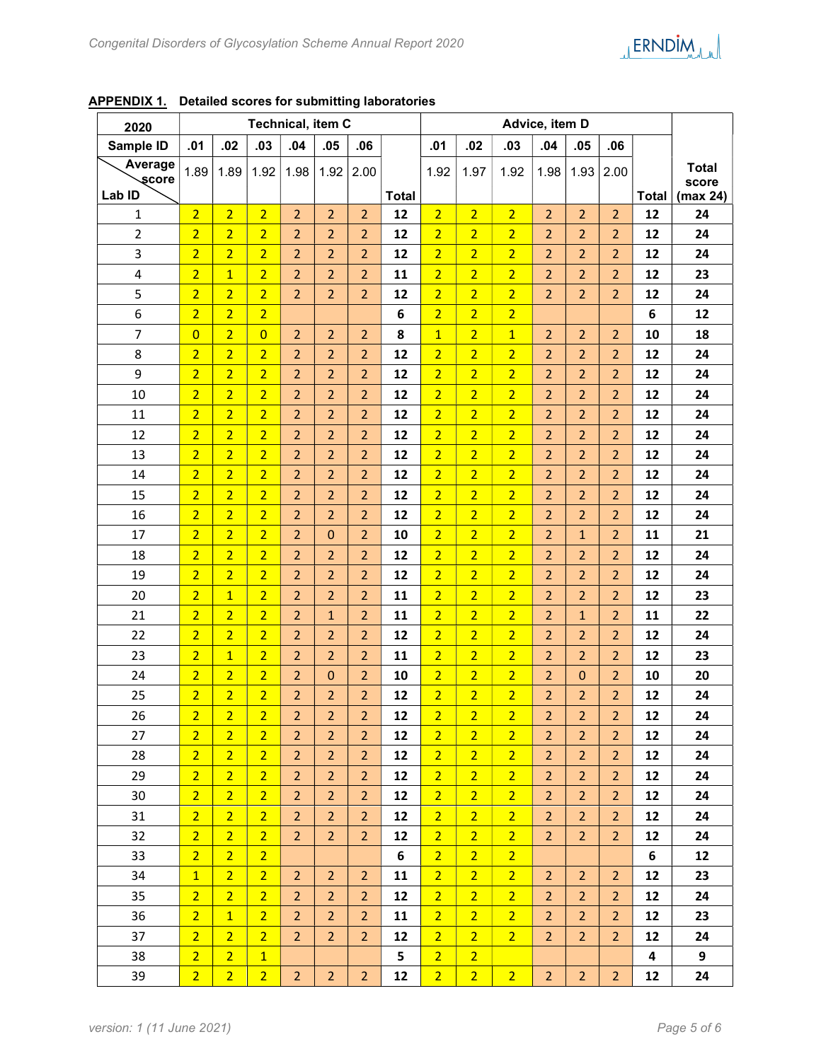| 2020                    | <b>Technical, item C</b> |                |                |                |                |                | Advice, item D |                |                |                |                |                |                |              |              |
|-------------------------|--------------------------|----------------|----------------|----------------|----------------|----------------|----------------|----------------|----------------|----------------|----------------|----------------|----------------|--------------|--------------|
| Sample ID               | .01                      | .02            | .03            | .04            | .05            | .06            |                | .01            | .02            | .03            | .04            | .05            | .06            |              |              |
| Average                 | 1.89                     | 1.89           | 1.92           | 1.98           | 1.92           | 2.00           |                | 1.92           | 1.97           | 1.92           | 1.98           | 1.93           | 2.00           |              | <b>Total</b> |
| score                   |                          |                |                |                |                |                |                |                |                |                |                |                |                |              | score        |
| Lab ID                  |                          |                |                |                |                |                | <b>Total</b>   |                |                |                |                |                |                | <b>Total</b> | (max 24)     |
| 1                       | $\overline{2}$           | $\overline{2}$ | $\overline{2}$ | $\overline{2}$ | $\overline{2}$ | $\overline{2}$ | 12             | $\overline{2}$ | $\overline{2}$ | $\overline{2}$ | $\overline{2}$ | $\overline{2}$ | $\overline{2}$ | 12           | 24           |
| $\overline{2}$          | $\overline{2}$           | $\overline{2}$ | $\overline{2}$ | $\overline{2}$ | $\overline{2}$ | $\overline{2}$ | 12             | $\overline{2}$ | $\overline{2}$ | $\overline{2}$ | $\overline{2}$ | $\overline{2}$ | $\overline{2}$ | 12           | 24           |
| 3                       | $\overline{2}$           | $\overline{2}$ | $\overline{2}$ | $\overline{2}$ | $\overline{2}$ | $\overline{2}$ | 12             | $\overline{2}$ | $\overline{2}$ | $\overline{2}$ | $\overline{2}$ | $\overline{2}$ | $\overline{2}$ | 12           | 24           |
| $\overline{\mathbf{4}}$ | $\overline{2}$           | $\overline{1}$ | $\overline{2}$ | $\overline{2}$ | $\overline{2}$ | $\overline{2}$ | 11             | $\overline{2}$ | $\overline{2}$ | $\overline{2}$ | $\overline{2}$ | $\overline{2}$ | $\overline{2}$ | 12           | 23           |
| 5                       | $\overline{2}$           | $\overline{2}$ | $\overline{2}$ | $\overline{2}$ | $\overline{2}$ | $\overline{2}$ | 12             | $\overline{2}$ | $\overline{2}$ | $\overline{2}$ | $\overline{2}$ | $\overline{2}$ | $\overline{2}$ | 12           | 24           |
| 6                       | $\overline{2}$           | $\overline{2}$ | $\overline{2}$ |                |                |                | 6              | $\overline{2}$ | $\overline{2}$ | $\overline{2}$ |                |                |                | 6            | 12           |
| $\overline{7}$          | $\overline{0}$           | $\overline{2}$ | $\overline{0}$ | $\overline{2}$ | $\overline{2}$ | $\overline{2}$ | 8              | $\overline{1}$ | $\overline{2}$ | $\overline{1}$ | $\overline{2}$ | $\overline{2}$ | $\overline{2}$ | 10           | 18           |
| 8                       | $\overline{2}$           | $\overline{2}$ | $\overline{2}$ | $\overline{2}$ | $\overline{2}$ | $\overline{2}$ | 12             | $\overline{2}$ | $\overline{2}$ | $\overline{2}$ | $\overline{2}$ | $\overline{2}$ | $\overline{2}$ | 12           | 24           |
| 9                       | $\overline{2}$           | $\overline{2}$ | $\overline{2}$ | $\overline{2}$ | $\overline{2}$ | $\overline{2}$ | 12             | $\overline{2}$ | $\overline{2}$ | $\overline{2}$ | $\overline{2}$ | $\overline{2}$ | $\overline{2}$ | 12           | 24           |
| 10                      | $\overline{2}$           | $\overline{2}$ | $\overline{2}$ | $\overline{2}$ | $\overline{2}$ | $\overline{2}$ | 12             | $\overline{2}$ | $\overline{2}$ | $\overline{2}$ | $\overline{2}$ | $\overline{2}$ | $\overline{2}$ | 12           | 24           |
| 11                      | $\overline{2}$           | $\overline{2}$ | $\overline{2}$ | $\overline{2}$ | $\overline{2}$ | $\overline{2}$ | 12             | $\overline{2}$ | $\overline{2}$ | $\overline{2}$ | $\overline{2}$ | $\overline{2}$ | $\overline{2}$ | 12           | 24           |
| 12                      | $\overline{2}$           | $\overline{2}$ | $\overline{2}$ | $\overline{2}$ | $\overline{2}$ | $\overline{2}$ | 12             | $\overline{2}$ | $\overline{2}$ | $\overline{2}$ | $\overline{2}$ | $\overline{2}$ | $\overline{2}$ | 12           | 24           |
| 13                      | $\overline{2}$           | $\overline{2}$ | $\overline{2}$ | $\overline{2}$ | $\overline{2}$ | $\overline{2}$ | 12             | $\overline{2}$ | $\overline{2}$ | $\overline{2}$ | $\overline{2}$ | $\overline{2}$ | $\overline{2}$ | 12           | 24           |
| 14                      | $\overline{2}$           | $\overline{2}$ | $\overline{2}$ | $\overline{2}$ | $\overline{2}$ | $\overline{2}$ | 12             | $\overline{2}$ | $\overline{2}$ | $\overline{2}$ | $\overline{2}$ | $\overline{2}$ | $\overline{2}$ | 12           | 24           |
| 15                      | $\overline{2}$           | $\overline{2}$ | $\overline{2}$ | $\overline{2}$ | $\overline{2}$ | $\overline{2}$ | 12             | $\overline{2}$ | $\overline{2}$ | $\overline{2}$ | $\overline{2}$ | $\overline{2}$ | $\overline{2}$ | 12           | 24           |
| 16                      | $\overline{2}$           | $\overline{2}$ | $\overline{2}$ | $\overline{2}$ | $\overline{2}$ | $\overline{2}$ | 12             | $\overline{2}$ | $\overline{2}$ | $\overline{2}$ | $\overline{2}$ | $\overline{2}$ | $\overline{2}$ | 12           | 24           |
| 17                      | $\overline{2}$           | $\overline{2}$ | $\overline{2}$ | $\overline{2}$ | $\mathbf 0$    | $\overline{2}$ | 10             | $\overline{2}$ | $\overline{2}$ | $\overline{2}$ | $\overline{2}$ | $\mathbf{1}$   | $\overline{2}$ | 11           | 21           |
| 18                      | $\overline{2}$           | $\overline{2}$ | $\overline{2}$ | $\overline{2}$ | $\overline{2}$ | $\overline{2}$ | 12             | $\overline{2}$ | $\overline{2}$ | $\overline{2}$ | $\overline{2}$ | $\overline{2}$ | $\overline{2}$ | 12           | 24           |
| 19                      | $\overline{2}$           | $\overline{2}$ | $\overline{2}$ | $\overline{2}$ | $\overline{2}$ | $\overline{2}$ | 12             | $\overline{2}$ | $\overline{2}$ | $\overline{2}$ | $\overline{2}$ | $\overline{2}$ | $\overline{2}$ | 12           | 24           |
| 20                      | $\overline{2}$           | $\mathbf{1}$   | $\overline{2}$ | $\overline{2}$ | $\overline{2}$ | $\overline{2}$ | 11             | $\overline{2}$ | $\overline{2}$ | $\overline{2}$ | $\overline{2}$ | $\overline{2}$ | $\overline{2}$ | 12           | 23           |
| 21                      | $\overline{2}$           | $\overline{2}$ | $\overline{2}$ | 2              | $\mathbf{1}$   | $\overline{2}$ | 11             | $\overline{2}$ | $\overline{2}$ | $\overline{2}$ | $\overline{2}$ | $\mathbf{1}$   | $\overline{2}$ | 11           | 22           |
| 22                      | $\overline{2}$           | $\overline{2}$ | $\overline{2}$ | $\overline{2}$ | $\overline{2}$ | $\overline{2}$ | 12             | $\overline{2}$ | $\overline{2}$ | $\overline{2}$ | $\overline{2}$ | $\overline{2}$ | $\overline{2}$ | 12           | 24           |
| 23                      | $\overline{2}$           | $\mathbf{1}$   | $\overline{2}$ | 2              | 2              | $\overline{2}$ | 11             | $\overline{2}$ | $\overline{2}$ | $\overline{2}$ | $\overline{2}$ | $\overline{2}$ | $\overline{2}$ | 12           | 23           |
| 24                      | $\overline{2}$           | $\overline{2}$ | $\overline{2}$ | $\overline{2}$ | $\mathbf 0$    | $\overline{2}$ | 10             | $\overline{2}$ | $\overline{2}$ | $\overline{2}$ | $\overline{2}$ | $\mathbf 0$    | $\overline{2}$ | 10           | 20           |
| 25                      | $\overline{2}$           | $\overline{2}$ | $\overline{2}$ | $\overline{2}$ | $\overline{2}$ | $\overline{2}$ | 12             | $\overline{2}$ | $\overline{2}$ | $\overline{2}$ | $\overline{2}$ | $\overline{2}$ | $\overline{2}$ | 12           | 24           |
| 26                      | $\overline{2}$           | $\overline{2}$ | $\overline{2}$ | $\overline{2}$ | $\overline{2}$ | $\overline{2}$ | 12             | $\overline{2}$ | $\overline{2}$ | $\overline{2}$ | $\overline{2}$ | $\overline{2}$ | $\overline{2}$ | 12           | 24           |
| 27                      | 2 <sup>1</sup>           | 2 <sup>1</sup> | 2 <sup>2</sup> | $\overline{2}$ | $\overline{2}$ | $\overline{2}$ | 12             | $\overline{2}$ | 2 <sup>1</sup> | $\overline{2}$ | $\overline{2}$ | $\overline{2}$ | 2 <sup>2</sup> | 12           | 24           |
| 28                      | $\overline{2}$           | $\overline{2}$ | $\overline{2}$ | $\overline{2}$ | $\overline{2}$ | $\overline{2}$ | 12             | $\overline{2}$ | $\overline{2}$ | $\overline{2}$ | $\overline{2}$ | $\overline{2}$ | $\overline{2}$ | 12           | 24           |
| 29                      | 2 <sup>1</sup>           | 2 <sup>1</sup> | 2 <sup>1</sup> | $\overline{2}$ | $\overline{2}$ | $\overline{2}$ | 12             | $\overline{2}$ | $\overline{2}$ | $\overline{2}$ | $\overline{2}$ | $\overline{2}$ | $\overline{2}$ | 12           | 24           |
| 30                      | $\overline{2}$           | 2 <sup>1</sup> | $\overline{2}$ | $\overline{2}$ | $\overline{2}$ | 2 <sup>2</sup> | 12             | $\overline{2}$ | $\overline{2}$ | $\overline{2}$ | $\overline{2}$ | $\overline{2}$ | $\overline{2}$ | 12           | 24           |
| 31                      | 2 <sup>1</sup>           | 2 <sup>1</sup> | $\overline{2}$ | $\overline{2}$ | $\overline{2}$ | $\overline{2}$ | 12             | $\overline{2}$ | $\overline{2}$ | $\overline{2}$ | $\overline{2}$ | $\overline{2}$ | $\overline{2}$ | 12           | 24           |
| 32                      | $\overline{2}$           | 2 <sup>1</sup> | $\overline{2}$ | 2 <sup>2</sup> | 2 <sup>1</sup> | 2 <sup>1</sup> | 12             | $\overline{2}$ | $\overline{2}$ | $\overline{2}$ | 2 <sup>1</sup> | $\overline{2}$ | $\overline{2}$ | 12           | 24           |
| 33                      | 2 <sup>1</sup>           | 2 <sup>1</sup> | 2 <sup>1</sup> |                |                |                | 6              | $\overline{2}$ | $\overline{2}$ | $\overline{2}$ |                |                |                | 6            | 12           |
| 34                      | $\overline{1}$           | 2 <sup>1</sup> | 2 <sup>1</sup> | $\overline{2}$ | $\overline{2}$ | 2 <sup>2</sup> | 11             | $\overline{2}$ | $\overline{2}$ | $\overline{2}$ | $\overline{2}$ | $\overline{2}$ | $\overline{2}$ | 12           | 23           |
| 35                      | 2 <sup>1</sup>           | 2 <sup>1</sup> | $\overline{2}$ | $\overline{2}$ | $\overline{2}$ | $\overline{2}$ | 12             | $\overline{2}$ | $\overline{2}$ | $\overline{2}$ | $\overline{2}$ | $\overline{2}$ | $\overline{2}$ | 12           | 24           |
| 36                      | 2 <sup>1</sup>           | $\mathbf{1}$   | $\overline{2}$ | $\overline{2}$ | 2 <sup>1</sup> | 2 <sup>1</sup> | 11             | $\overline{2}$ | $\overline{2}$ | $\overline{2}$ | $\overline{2}$ | $\overline{2}$ | $\overline{2}$ | 12           | 23           |
| 37                      | $\overline{2}$           | 2 <sub>1</sub> | 2 <sup>1</sup> | 2 <sup>2</sup> | $\overline{2}$ | $\overline{2}$ | 12             | $\overline{2}$ | $\overline{2}$ | 2 <sup>1</sup> | 2 <sup>2</sup> | $\overline{2}$ | $\overline{2}$ | 12           | 24           |
| 38                      | $\overline{2}$           | 2 <sup>1</sup> | $\mathbf{1}$   |                |                |                | 5              | $\overline{2}$ | 2 <sup>1</sup> |                |                |                |                | 4            | 9            |
| 39                      | $\overline{2}$           | $\overline{2}$ | 2 <sub>1</sub> | 2 <sup>2</sup> | 2 <sup>2</sup> | 2 <sup>2</sup> | 12             | $\overline{2}$ | $\overline{2}$ | $\overline{2}$ | $\overline{2}$ | $\overline{2}$ | 2 <sup>1</sup> | 12           | 24           |

APPENDIX 1. Detailed scores for submitting laboratories